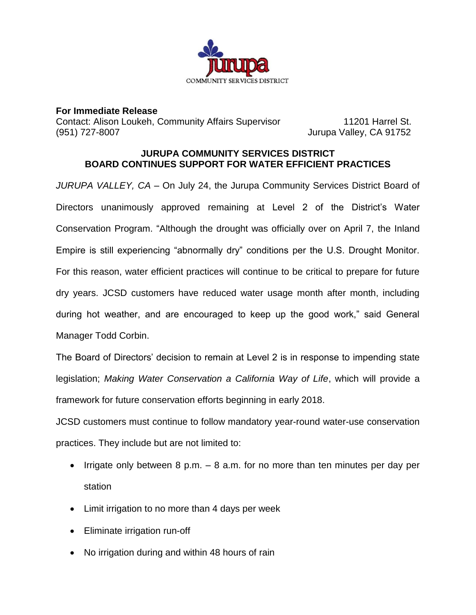

**For Immediate Release** Contact: Alison Loukeh, Community Affairs Supervisor 11201 Harrel St. (951) 727-8007 Jurupa Valley, CA 91752

## **JURUPA COMMUNITY SERVICES DISTRICT BOARD CONTINUES SUPPORT FOR WATER EFFICIENT PRACTICES**

*JURUPA VALLEY, CA* – On July 24, the Jurupa Community Services District Board of Directors unanimously approved remaining at Level 2 of the District's Water Conservation Program. "Although the drought was officially over on April 7, the Inland Empire is still experiencing "abnormally dry" conditions per the U.S. Drought Monitor. For this reason, water efficient practices will continue to be critical to prepare for future dry years. JCSD customers have reduced water usage month after month, including during hot weather, and are encouraged to keep up the good work," said General Manager Todd Corbin.

The Board of Directors' decision to remain at Level 2 is in response to impending state legislation; *Making Water Conservation a California Way of Life*, which will provide a framework for future conservation efforts beginning in early 2018.

JCSD customers must continue to follow mandatory year-round water-use conservation practices. They include but are not limited to:

- Irrigate only between 8 p.m. 8 a.m. for no more than ten minutes per day per station
- Limit irrigation to no more than 4 days per week
- Eliminate irrigation run-off
- No irrigation during and within 48 hours of rain